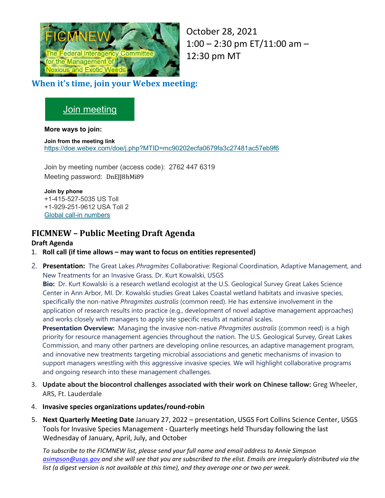

October 28, 2021 1:00 – 2:30 pm ET/11:00 am – 12:30 pm MT

### **When it's time, join your Webex meeting:**

# Join [meeting](https://gcc02.safelinks.protection.outlook.com/?url=https%3A%2F%2Fdoe.webex.com%2Fdoe%2Fj.php%3FMTID%3Dmc90202ecfa0679fa3c27481ac57eb9f6&data=04%7C01%7Cterri_hogan%40nps.gov%7C831fb59989244908fc0d08d98844a541%7C0693b5ba4b184d7b9341f32f400a5494%7C0%7C0%7C637690650694985087%7CUnknown%7CTWFpbGZsb3d8eyJWIjoiMC4wLjAwMDAiLCJQIjoiV2luMzIiLCJBTiI6Ik1haWwiLCJXVCI6Mn0%3D%7C1000&sdata=puoxk1dcitysx1syjzHBsxKAfiR5i1u3tWZE1m08SHQ%3D&reserved=0)

### **More ways to join:**

**Join from the meeting link** [https://doe.webex.com/doe/j.php?MTID=mc90202ecfa0679fa3c27481ac57eb9f6](https://gcc02.safelinks.protection.outlook.com/?url=https%3A%2F%2Fdoe.webex.com%2Fdoe%2Fj.php%3FMTID%3Dmc90202ecfa0679fa3c27481ac57eb9f6&data=04%7C01%7Cterri_hogan%40nps.gov%7C831fb59989244908fc0d08d98844a541%7C0693b5ba4b184d7b9341f32f400a5494%7C0%7C0%7C637690650694985087%7CUnknown%7CTWFpbGZsb3d8eyJWIjoiMC4wLjAwMDAiLCJQIjoiV2luMzIiLCJBTiI6Ik1haWwiLCJXVCI6Mn0%3D%7C1000&sdata=puoxk1dcitysx1syjzHBsxKAfiR5i1u3tWZE1m08SHQ%3D&reserved=0)

Join by meeting number (access code): 2762 447 6319 Meeting password: DnEJJ8hMi89

#### **Join by phone**

+1-415-527-5035 US Toll +1-929-251-9612 USA Toll 2 Global call-in [numbers](https://gcc02.safelinks.protection.outlook.com/?url=https%3A%2F%2Fdoe.webex.com%2Fdoe%2Fglobalcallin.php%3FMTID%3Dm4aca122c53976b8f785aa73fbbe1d15e&data=04%7C01%7Cterri_hogan%40nps.gov%7C831fb59989244908fc0d08d98844a541%7C0693b5ba4b184d7b9341f32f400a5494%7C0%7C0%7C637690650694995044%7CUnknown%7CTWFpbGZsb3d8eyJWIjoiMC4wLjAwMDAiLCJQIjoiV2luMzIiLCJBTiI6Ik1haWwiLCJXVCI6Mn0%3D%7C1000&sdata=COtUoLK5kO3COkV7Esj4ZImqMkFlUSexMcOAOY%2FTkhM%3D&reserved=0)

## **FICMNEW – Public Meeting Draft Agenda**

### **Draft Agenda**

- 1. **Roll call (if time allows – may want to focus on entities represented)**
- 2. **Presentation:** The Great Lakes *Phragmites* Collaborative: Regional Coordination, Adaptive Management, and New Treatments for an Invasive Grass. Dr. Kurt Kowalski, USGS

**Bio:** Dr. Kurt Kowalski is a research wetland ecologist at the U.S. Geological Survey Great Lakes Science Center in Ann Arbor, MI. Dr. Kowalski studies Great Lakes Coastal wetland habitats and invasive species, specifically the non-native *Phragmites australis* (common reed). He has extensive involvement in the application of research results into practice (e.g., development of novel adaptive management approaches) and works closely with managers to apply site specific results at national scales.

**Presentation Overview:** Managing the invasive non-native *Phragmites australis* (common reed) is a high priority for resource management agencies throughout the nation. The U.S. Geological Survey, Great Lakes Commission, and many other partners are developing online resources, an adaptive management program, and innovative new treatments targeting microbial associations and genetic mechanisms of invasion to support managers wrestling with this aggressive invasive species. We will highlight collaborative programs and ongoing research into these management challenges.

- 3. **Update about the biocontrol challenges associated with their work on Chinese tallow:** Greg Wheeler, ARS, Ft. Lauderdale
- 4. **Invasive species organizations updates/round-robin**
- 5. **Next Quarterly Meeting Date** January 27, 2022 presentation, USGS Fort Collins Science Center, USGS Tools for Invasive Species Management - Quarterly meetings held Thursday following the last Wednesday of January, April, July, and October

*To subscribe to the FICMNEW list, please send your full name and email address to Annie Simpson [asimpson@usgs.gov](mailto:asimpson@usgs.gov) and she will see that you are subscribed to the elist. Emails are irregularly distributed via the list (a digest version is not available at this time), and they average one or two per week.*